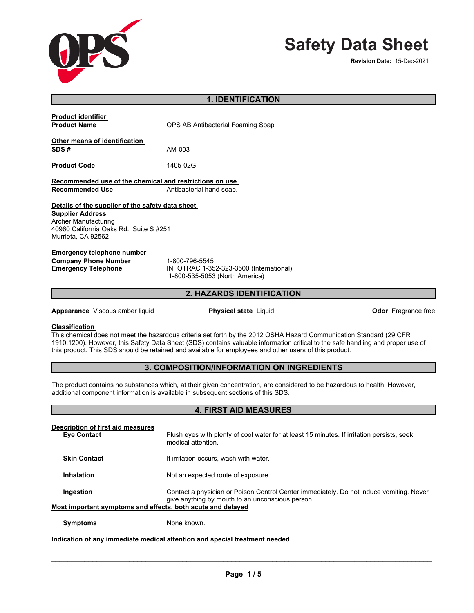

# **Safety Data Sheet**

**Revision Date: 15-Dec-2021** 

| <b>1. IDENTIFICATION</b> |
|--------------------------|

| <b>Product identifier</b><br><b>Product Name</b>                                                                                                                     | OPS AB Antibacterial Foaming Soap                                                           |  |  |
|----------------------------------------------------------------------------------------------------------------------------------------------------------------------|---------------------------------------------------------------------------------------------|--|--|
| Other means of identification<br>SDS#                                                                                                                                | AM-003                                                                                      |  |  |
| <b>Product Code</b>                                                                                                                                                  | 1405-02G                                                                                    |  |  |
| Recommended use of the chemical and restrictions on use<br><b>Recommended Use</b><br>Antibacterial hand soap.                                                        |                                                                                             |  |  |
| Details of the supplier of the safety data sheet<br><b>Supplier Address</b><br>Archer Manufacturing<br>40960 California Oaks Rd., Suite S #251<br>Murrieta, CA 92562 |                                                                                             |  |  |
| Emergency telephone number<br><b>Company Phone Number</b><br><b>Emergency Telephone</b>                                                                              | 1-800-796-5545<br>INFOTRAC 1-352-323-3500 (International)<br>1-800-535-5053 (North America) |  |  |

#### **2. HAZARDS IDENTIFICATION Methods and material for containment and cleaning up**

**Appearance** Viscous amber liquid **Contained Containment Container Physical state** Liquid **Container Container Container Container Container Container Container School School School School School School School School Schoo** 

**Precautions for safe handling** 

**Conditions for safe storage, including any incompatibilities** 

#### **Classification**

<u>onassincation.</u><br>This chemical does not meet the hazardous criteria set forth by the 2012 OSHA Hazard Communication Standard (29 CFR 1910.1200). However, this Safety Data Sheet (SDS) contains valuable information critical to the safe handling and proper use of this product. This SDS should be retained and available for employees and other users of this product.

### **3. COMPOSITION/INFORMATION ON INGREDIENTS**

The product contains no substances which, at their given concentration, are considered to be hazardous to health. However, additional component information is available in subsequent sections of this SDS.

#### **4. FIRST AID MEASURES Storage Conditions** Keep container tightly closed. Store between 0°C (32°F) to 50°C (122°F). Keep exposed

| Description of first aid measures<br><b>Eve Contact</b>     | Flush eyes with plenty of cool water for at least 15 minutes. If irritation persists, seek<br>medical attention.                            |  |
|-------------------------------------------------------------|---------------------------------------------------------------------------------------------------------------------------------------------|--|
| <b>Skin Contact</b>                                         | If irritation occurs, wash with water.                                                                                                      |  |
| Inhalation                                                  | Not an expected route of exposure.                                                                                                          |  |
| Ingestion                                                   | Contact a physician or Poison Control Center immediately. Do not induce vomiting. Never<br>give anything by mouth to an unconscious person. |  |
| Most important symptoms and effects, both acute and delayed |                                                                                                                                             |  |
| <b>Symptoms</b>                                             | None known.                                                                                                                                 |  |

## Indication of any immediate medical attention and special treatment needed

\_\_\_\_\_\_\_\_\_\_\_\_\_\_\_\_\_\_\_\_\_\_\_\_\_\_\_\_\_\_\_\_\_\_\_\_\_\_\_\_\_\_\_\_\_\_\_\_\_\_\_\_\_\_\_\_\_\_\_\_\_\_\_\_\_\_\_\_\_\_\_\_\_\_\_\_\_\_\_\_\_\_\_\_\_\_\_\_\_\_\_\_\_

 $\overline{\phantom{a}}$  ,  $\overline{\phantom{a}}$  ,  $\overline{\phantom{a}}$  ,  $\overline{\phantom{a}}$  ,  $\overline{\phantom{a}}$  ,  $\overline{\phantom{a}}$  ,  $\overline{\phantom{a}}$  ,  $\overline{\phantom{a}}$  ,  $\overline{\phantom{a}}$  ,  $\overline{\phantom{a}}$  ,  $\overline{\phantom{a}}$  ,  $\overline{\phantom{a}}$  ,  $\overline{\phantom{a}}$  ,  $\overline{\phantom{a}}$  ,  $\overline{\phantom{a}}$  ,  $\overline{\phantom{a}}$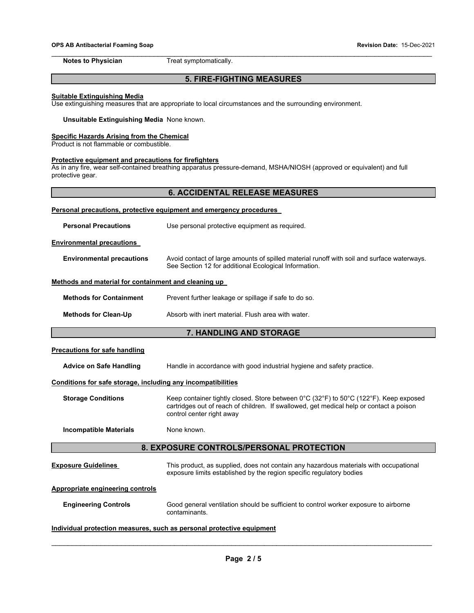#### **OPS AB Antibacterial Foaming Soap Revision Date:** 15-Dec-2021

\_\_\_\_\_\_\_\_\_\_\_\_\_\_\_\_\_\_\_\_\_\_\_\_\_\_\_\_\_\_\_\_\_\_\_\_\_\_\_\_\_\_\_\_\_\_\_\_\_\_\_\_\_\_\_\_\_\_\_\_\_\_\_\_\_\_\_\_\_\_\_\_\_\_\_\_\_\_\_\_\_\_\_\_\_\_\_\_\_\_\_\_\_ **Notes to Physician Treat symptomatically.** 

#### **5. FIRE-FIGHTING MEASURES**

#### **Suitable Extinguishing Media**

Use extinguishing measures that are appropriate to local circumstances and the surrounding environment.

#### **Unsuitable Extinguishing Media** None known.

#### **Specific Hazards Arising from the Chemical**

Product is not flammable or combustible.

#### **Protective equipment and precautions for firefighters**

As in any fire, wear self-contained breathing apparatus pressure-demand, MSHA/NIOSH (approved or equivalent) and full protective gear.

#### **6. ACCIDENTAL RELEASE MEASURES**

| Personal precautions, protective equipment and emergency procedures   |                                                                                                                                                                                                               |  |  |  |  |
|-----------------------------------------------------------------------|---------------------------------------------------------------------------------------------------------------------------------------------------------------------------------------------------------------|--|--|--|--|
| <b>Personal Precautions</b>                                           | Use personal protective equipment as required.                                                                                                                                                                |  |  |  |  |
| <b>Environmental precautions</b>                                      |                                                                                                                                                                                                               |  |  |  |  |
| <b>Environmental precautions</b>                                      | Avoid contact of large amounts of spilled material runoff with soil and surface waterways.<br>See Section 12 for additional Ecological Information.                                                           |  |  |  |  |
| Methods and material for containment and cleaning up                  |                                                                                                                                                                                                               |  |  |  |  |
| <b>Methods for Containment</b>                                        | Prevent further leakage or spillage if safe to do so.                                                                                                                                                         |  |  |  |  |
| <b>Methods for Clean-Up</b>                                           | Absorb with inert material. Flush area with water.                                                                                                                                                            |  |  |  |  |
| 7. HANDLING AND STORAGE                                               |                                                                                                                                                                                                               |  |  |  |  |
| <b>Precautions for safe handling</b>                                  |                                                                                                                                                                                                               |  |  |  |  |
| <b>Advice on Safe Handling</b>                                        | Handle in accordance with good industrial hygiene and safety practice.                                                                                                                                        |  |  |  |  |
| Conditions for safe storage, including any incompatibilities          |                                                                                                                                                                                                               |  |  |  |  |
| <b>Storage Conditions</b>                                             | Keep container tightly closed. Store between 0°C (32°F) to 50°C (122°F). Keep exposed<br>cartridges out of reach of children. If swallowed, get medical help or contact a poison<br>control center right away |  |  |  |  |
| <b>Incompatible Materials</b>                                         | None known.                                                                                                                                                                                                   |  |  |  |  |
|                                                                       | 8. EXPOSURE CONTROLS/PERSONAL PROTECTION                                                                                                                                                                      |  |  |  |  |
| <b>Exposure Guidelines</b>                                            | This product, as supplied, does not contain any hazardous materials with occupational<br>exposure limits established by the region specific regulatory bodies                                                 |  |  |  |  |
| <b>Appropriate engineering controls</b>                               |                                                                                                                                                                                                               |  |  |  |  |
| <b>Engineering Controls</b>                                           | Good general ventilation should be sufficient to control worker exposure to airborne<br>contaminants.                                                                                                         |  |  |  |  |
| Individual protection measures, such as personal protective equipment |                                                                                                                                                                                                               |  |  |  |  |

\_\_\_\_\_\_\_\_\_\_\_\_\_\_\_\_\_\_\_\_\_\_\_\_\_\_\_\_\_\_\_\_\_\_\_\_\_\_\_\_\_\_\_\_\_\_\_\_\_\_\_\_\_\_\_\_\_\_\_\_\_\_\_\_\_\_\_\_\_\_\_\_\_\_\_\_\_\_\_\_\_\_\_\_\_\_\_\_\_\_\_\_\_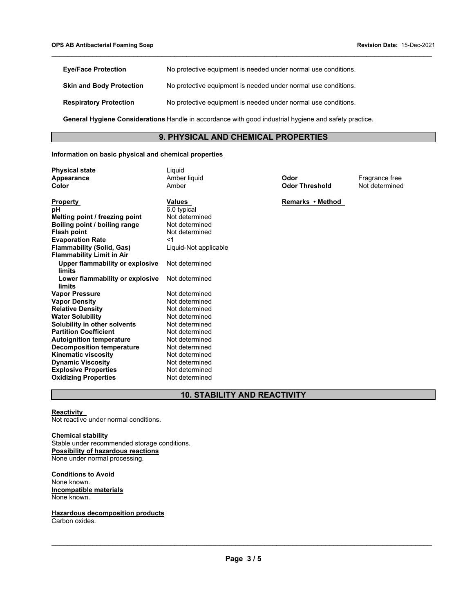| <b>Eye/Face Protection</b>                                                                            | No protective equipment is needed under normal use conditions. |  |
|-------------------------------------------------------------------------------------------------------|----------------------------------------------------------------|--|
| <b>Skin and Body Protection</b>                                                                       | No protective equipment is needed under normal use conditions. |  |
| <b>Respiratory Protection</b>                                                                         | No protective equipment is needed under normal use conditions. |  |
| General Hygiene Considerations Handle in accordance with good industrial hygiene and safety practice. |                                                                |  |

#### **9. PHYSICAL AND CHEMICAL PROPERTIES**

\_\_\_\_\_\_\_\_\_\_\_\_\_\_\_\_\_\_\_\_\_\_\_\_\_\_\_\_\_\_\_\_\_\_\_\_\_\_\_\_\_\_\_\_\_\_\_\_\_\_\_\_\_\_\_\_\_\_\_\_\_\_\_\_\_\_\_\_\_\_\_\_\_\_\_\_\_\_\_\_\_\_\_\_\_\_\_\_\_\_\_\_\_

#### **Information on basic physical and chemical properties**

**Physical state** Liquid

| Appearance                             | Amber liquid          |  |
|----------------------------------------|-----------------------|--|
| Color                                  | Amber                 |  |
|                                        |                       |  |
| Property                               | <b>Values</b>         |  |
| рH                                     | 6.0 typical           |  |
| Melting point / freezing point         | Not determined        |  |
| Boiling point / boiling range          | Not determined        |  |
| <b>Flash point</b>                     | Not determined        |  |
| <b>Evaporation Rate</b>                | $<$ 1                 |  |
| <b>Flammability (Solid, Gas)</b>       | Liquid-Not applicable |  |
| <b>Flammability Limit in Air</b>       |                       |  |
| <b>Upper flammability or explosive</b> | Not determined        |  |
| limits                                 |                       |  |
| Lower flammability or explosive        | Not determined        |  |
| limits                                 |                       |  |
| <b>Vapor Pressure</b>                  | Not determined        |  |
| <b>Vapor Density</b>                   | Not determined        |  |
| <b>Relative Density</b>                | Not determined        |  |
| <b>Water Solubility</b>                | Not determined        |  |
| <b>Solubility in other solvents</b>    | Not determined        |  |
| <b>Partition Coefficient</b>           | Not determined        |  |
| <b>Autoignition temperature</b>        | Not determined        |  |
| <b>Decomposition temperature</b>       | Not determined        |  |
| <b>Kinematic viscosity</b>             | Not determined        |  |
| <b>Dynamic Viscosity</b>               | Not determined        |  |
| <b>Explosive Properties</b>            | Not determined        |  |
| <b>Oxidizing Properties</b>            | Not determined        |  |
|                                        |                       |  |

**Odor Threshold** 

**Odor**<br> **Appearance** *Codor* **Threshold**<br> **A** Not determined

**Remarks • Method** 

### **10. STABILITY AND REACTIVITY**

#### **Reactivity**

Not reactive under normal conditions.

#### **Chemical stability**

Stable under recommended storage conditions. **Possibility of hazardous reactions**  None under normal processing.

**Conditions to Avoid**  None known. **Incompatible materials**  None known.

**Hazardous decomposition products**  Carbon oxides.

\_\_\_\_\_\_\_\_\_\_\_\_\_\_\_\_\_\_\_\_\_\_\_\_\_\_\_\_\_\_\_\_\_\_\_\_\_\_\_\_\_\_\_\_\_\_\_\_\_\_\_\_\_\_\_\_\_\_\_\_\_\_\_\_\_\_\_\_\_\_\_\_\_\_\_\_\_\_\_\_\_\_\_\_\_\_\_\_\_\_\_\_\_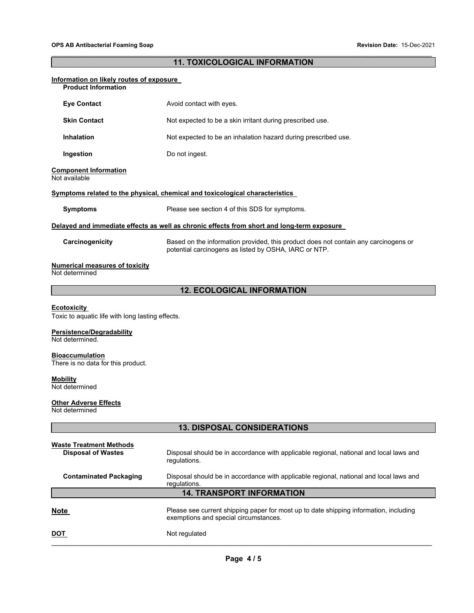#### $\_$  ,  $\_$  ,  $\_$  ,  $\_$  ,  $\_$  ,  $\_$  ,  $\_$  ,  $\_$  ,  $\_$  ,  $\_$  ,  $\_$  ,  $\_$  ,  $\_$  ,  $\_$  ,  $\_$  ,  $\_$  ,  $\_$  ,  $\_$  ,  $\_$  ,  $\_$  ,  $\_$  ,  $\_$  ,  $\_$  ,  $\_$  ,  $\_$  ,  $\_$  ,  $\_$  ,  $\_$  ,  $\_$  ,  $\_$  ,  $\_$  ,  $\_$  ,  $\_$  ,  $\_$  ,  $\_$  ,  $\_$  ,  $\_$  , **11. TOXICOLOGICAL INFORMATION**

| Information on likely routes of exposure<br><b>Product Information</b>                                                 |                                                                                                                                              |  |  |  |  |
|------------------------------------------------------------------------------------------------------------------------|----------------------------------------------------------------------------------------------------------------------------------------------|--|--|--|--|
| <b>Eye Contact</b>                                                                                                     | Avoid contact with eyes.                                                                                                                     |  |  |  |  |
| <b>Skin Contact</b>                                                                                                    | Not expected to be a skin irritant during prescribed use.                                                                                    |  |  |  |  |
| <b>Inhalation</b>                                                                                                      | Not expected to be an inhalation hazard during prescribed use.                                                                               |  |  |  |  |
| Ingestion                                                                                                              | Do not ingest.                                                                                                                               |  |  |  |  |
| <b>Component Information</b><br>Not available                                                                          |                                                                                                                                              |  |  |  |  |
|                                                                                                                        | <b>Symptoms related to the physical, chemical and toxicological characteristics</b>                                                          |  |  |  |  |
| <b>Symptoms</b>                                                                                                        | Please see section 4 of this SDS for symptoms.                                                                                               |  |  |  |  |
|                                                                                                                        | Delayed and immediate effects as well as chronic effects from short and long-term exposure                                                   |  |  |  |  |
| Carcinogenicity                                                                                                        | Based on the information provided, this product does not contain any carcinogens or<br>potential carcinogens as listed by OSHA, IARC or NTP. |  |  |  |  |
| <b>Numerical measures of toxicity</b><br>Not determined                                                                |                                                                                                                                              |  |  |  |  |
|                                                                                                                        | <b>12. ECOLOGICAL INFORMATION</b>                                                                                                            |  |  |  |  |
| <b>Ecotoxicity</b><br>Toxic to aquatic life with long lasting effects.<br>Persistence/Degradability<br>Not determined. |                                                                                                                                              |  |  |  |  |
| <b>Bioaccumulation</b><br>There is no data for this product.                                                           |                                                                                                                                              |  |  |  |  |
| <b>Mobility</b><br>Not determined                                                                                      |                                                                                                                                              |  |  |  |  |
| <b>Other Adverse Effects</b><br>Not determined                                                                         |                                                                                                                                              |  |  |  |  |
|                                                                                                                        | <b>13. DISPOSAL CONSIDERATIONS</b>                                                                                                           |  |  |  |  |
| <b>Waste Treatment Methods</b><br><b>Disposal of Wastes</b>                                                            | Disposal should be in accordance with applicable regional, national and local laws and<br>regulations.                                       |  |  |  |  |
| <b>Contaminated Packaging</b>                                                                                          | Disposal should be in accordance with applicable regional, national and local laws and<br>regulations.                                       |  |  |  |  |
| <b>14. TRANSPORT INFORMATION</b>                                                                                       |                                                                                                                                              |  |  |  |  |
| <b>Note</b>                                                                                                            | Please see current shipping paper for most up to date shipping information, including<br>exemptions and special circumstances.               |  |  |  |  |
| <u>DOT</u>                                                                                                             | Not regulated                                                                                                                                |  |  |  |  |